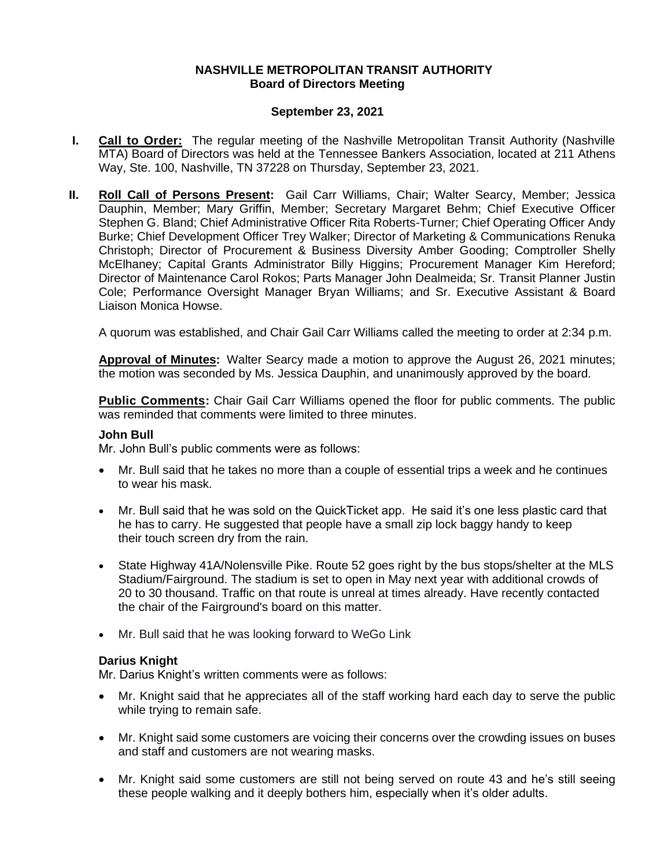## **NASHVILLE METROPOLITAN TRANSIT AUTHORITY Board of Directors Meeting**

## **September 23, 2021**

- **I. Call to Order:** The regular meeting of the Nashville Metropolitan Transit Authority (Nashville MTA) Board of Directors was held at the Tennessee Bankers Association, located at 211 Athens Way, Ste. 100, Nashville, TN 37228 on Thursday, September 23, 2021.
- **II. Roll Call of Persons Present:** Gail Carr Williams, Chair; Walter Searcy, Member; Jessica Dauphin, Member; Mary Griffin, Member; Secretary Margaret Behm; Chief Executive Officer Stephen G. Bland; Chief Administrative Officer Rita Roberts-Turner; Chief Operating Officer Andy Burke; Chief Development Officer Trey Walker; Director of Marketing & Communications Renuka Christoph; Director of Procurement & Business Diversity Amber Gooding; Comptroller Shelly McElhaney; Capital Grants Administrator Billy Higgins; Procurement Manager Kim Hereford; Director of Maintenance Carol Rokos; Parts Manager John Dealmeida; Sr. Transit Planner Justin Cole; Performance Oversight Manager Bryan Williams; and Sr. Executive Assistant & Board Liaison Monica Howse.

A quorum was established, and Chair Gail Carr Williams called the meeting to order at 2:34 p.m.

**Approval of Minutes:** Walter Searcy made a motion to approve the August 26, 2021 minutes; the motion was seconded by Ms. Jessica Dauphin, and unanimously approved by the board.

**Public Comments:** Chair Gail Carr Williams opened the floor for public comments. The public was reminded that comments were limited to three minutes.

#### **John Bull**

Mr. John Bull's public comments were as follows:

- Mr. Bull said that he takes no more than a couple of essential trips a week and he continues to wear his mask.
- Mr. Bull said that he was sold on the QuickTicket app. He said it's one less plastic card that he has to carry. He suggested that people have a small zip lock baggy handy to keep their touch screen dry from the rain.
- State Highway 41A/Nolensville Pike. Route 52 goes right by the bus stops/shelter at the MLS Stadium/Fairground. The stadium is set to open in May next year with additional crowds of 20 to 30 thousand. Traffic on that route is unreal at times already. Have recently contacted the chair of the Fairground's board on this matter.
- Mr. Bull said that he was looking forward to WeGo Link

#### **Darius Knight**

Mr. Darius Knight's written comments were as follows:

- Mr. Knight said that he appreciates all of the staff working hard each day to serve the public while trying to remain safe.
- Mr. Knight said some customers are voicing their concerns over the crowding issues on buses and staff and customers are not wearing masks.
- Mr. Knight said some customers are still not being served on route 43 and he's still seeing these people walking and it deeply bothers him, especially when it's older adults.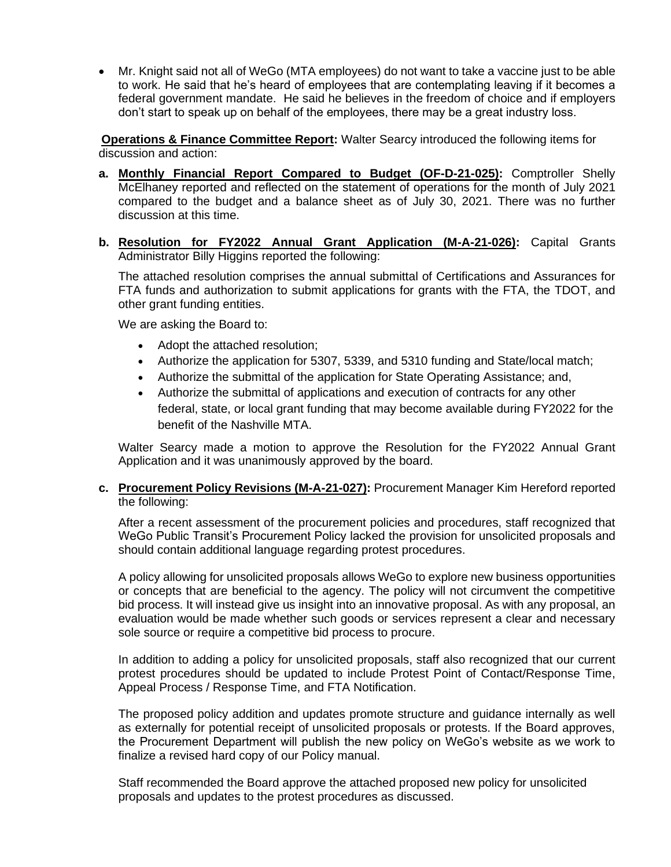• Mr. Knight said not all of WeGo (MTA employees) do not want to take a vaccine just to be able to work. He said that he's heard of employees that are contemplating leaving if it becomes a federal government mandate. He said he believes in the freedom of choice and if employers don't start to speak up on behalf of the employees, there may be a great industry loss.

**Operations & Finance Committee Report:** Walter Searcy introduced the following items for discussion and action:

- **a. Monthly Financial Report Compared to Budget (OF-D-21-025):** Comptroller Shelly McElhaney reported and reflected on the statement of operations for the month of July 2021 compared to the budget and a balance sheet as of July 30, 2021. There was no further discussion at this time.
- **b. Resolution for FY2022 Annual Grant Application (M-A-21-026):** Capital Grants Administrator Billy Higgins reported the following:

The attached resolution comprises the annual submittal of Certifications and Assurances for FTA funds and authorization to submit applications for grants with the FTA, the TDOT, and other grant funding entities.

We are asking the Board to:

- Adopt the attached resolution;
- Authorize the application for 5307, 5339, and 5310 funding and State/local match;
- Authorize the submittal of the application for State Operating Assistance; and,
- Authorize the submittal of applications and execution of contracts for any other federal, state, or local grant funding that may become available during FY2022 for the benefit of the Nashville MTA.

Walter Searcy made a motion to approve the Resolution for the FY2022 Annual Grant Application and it was unanimously approved by the board.

#### **c. Procurement Policy Revisions (M-A-21-027):** Procurement Manager Kim Hereford reported the following:

After a recent assessment of the procurement policies and procedures, staff recognized that WeGo Public Transit's Procurement Policy lacked the provision for unsolicited proposals and should contain additional language regarding protest procedures.

A policy allowing for unsolicited proposals allows WeGo to explore new business opportunities or concepts that are beneficial to the agency. The policy will not circumvent the competitive bid process. It will instead give us insight into an innovative proposal. As with any proposal, an evaluation would be made whether such goods or services represent a clear and necessary sole source or require a competitive bid process to procure.

In addition to adding a policy for unsolicited proposals, staff also recognized that our current protest procedures should be updated to include Protest Point of Contact/Response Time, Appeal Process / Response Time, and FTA Notification.

The proposed policy addition and updates promote structure and guidance internally as well as externally for potential receipt of unsolicited proposals or protests. If the Board approves, the Procurement Department will publish the new policy on WeGo's website as we work to finalize a revised hard copy of our Policy manual.

Staff recommended the Board approve the attached proposed new policy for unsolicited proposals and updates to the protest procedures as discussed.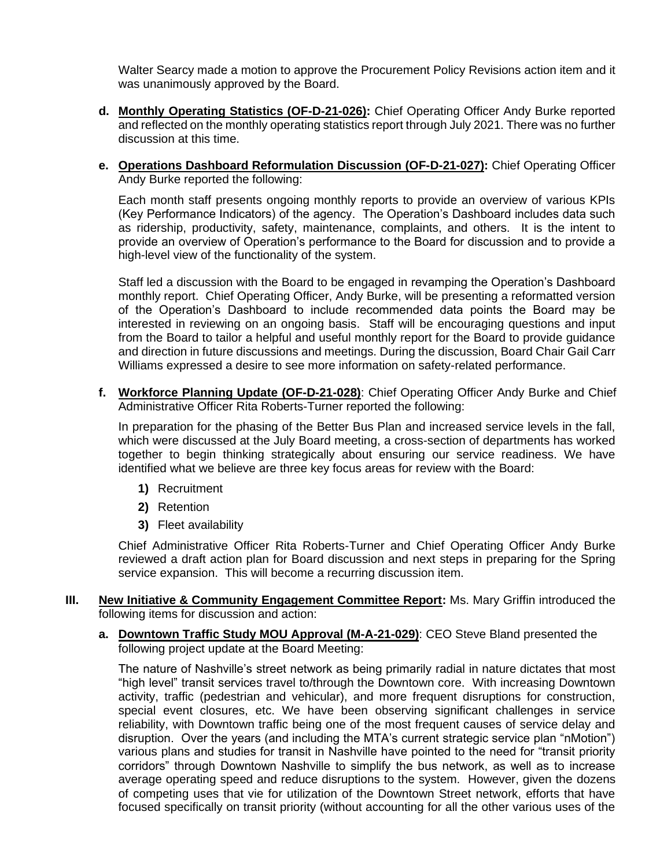Walter Searcy made a motion to approve the Procurement Policy Revisions action item and it was unanimously approved by the Board.

- **d. Monthly Operating Statistics (OF-D-21-026):** Chief Operating Officer Andy Burke reported and reflected on the monthly operating statistics report through July 2021. There was no further discussion at this time.
- **e. Operations Dashboard Reformulation Discussion (OF-D-21-027):** Chief Operating Officer Andy Burke reported the following:

Each month staff presents ongoing monthly reports to provide an overview of various KPIs (Key Performance Indicators) of the agency. The Operation's Dashboard includes data such as ridership, productivity, safety, maintenance, complaints, and others. It is the intent to provide an overview of Operation's performance to the Board for discussion and to provide a high-level view of the functionality of the system.

Staff led a discussion with the Board to be engaged in revamping the Operation's Dashboard monthly report. Chief Operating Officer, Andy Burke, will be presenting a reformatted version of the Operation's Dashboard to include recommended data points the Board may be interested in reviewing on an ongoing basis. Staff will be encouraging questions and input from the Board to tailor a helpful and useful monthly report for the Board to provide guidance and direction in future discussions and meetings. During the discussion, Board Chair Gail Carr Williams expressed a desire to see more information on safety-related performance.

**f. Workforce Planning Update (OF-D-21-028)**: Chief Operating Officer Andy Burke and Chief Administrative Officer Rita Roberts-Turner reported the following:

In preparation for the phasing of the Better Bus Plan and increased service levels in the fall, which were discussed at the July Board meeting, a cross-section of departments has worked together to begin thinking strategically about ensuring our service readiness. We have identified what we believe are three key focus areas for review with the Board:

- **1)** Recruitment
- **2)** Retention
- **3)** Fleet availability

Chief Administrative Officer Rita Roberts-Turner and Chief Operating Officer Andy Burke reviewed a draft action plan for Board discussion and next steps in preparing for the Spring service expansion. This will become a recurring discussion item.

- **III. New Initiative & Community Engagement Committee Report:** Ms. Mary Griffin introduced the following items for discussion and action:
	- **a. Downtown Traffic Study MOU Approval (M-A-21-029)**: CEO Steve Bland presented the following project update at the Board Meeting:

The nature of Nashville's street network as being primarily radial in nature dictates that most "high level" transit services travel to/through the Downtown core. With increasing Downtown activity, traffic (pedestrian and vehicular), and more frequent disruptions for construction, special event closures, etc. We have been observing significant challenges in service reliability, with Downtown traffic being one of the most frequent causes of service delay and disruption. Over the years (and including the MTA's current strategic service plan "nMotion") various plans and studies for transit in Nashville have pointed to the need for "transit priority corridors" through Downtown Nashville to simplify the bus network, as well as to increase average operating speed and reduce disruptions to the system. However, given the dozens of competing uses that vie for utilization of the Downtown Street network, efforts that have focused specifically on transit priority (without accounting for all the other various uses of the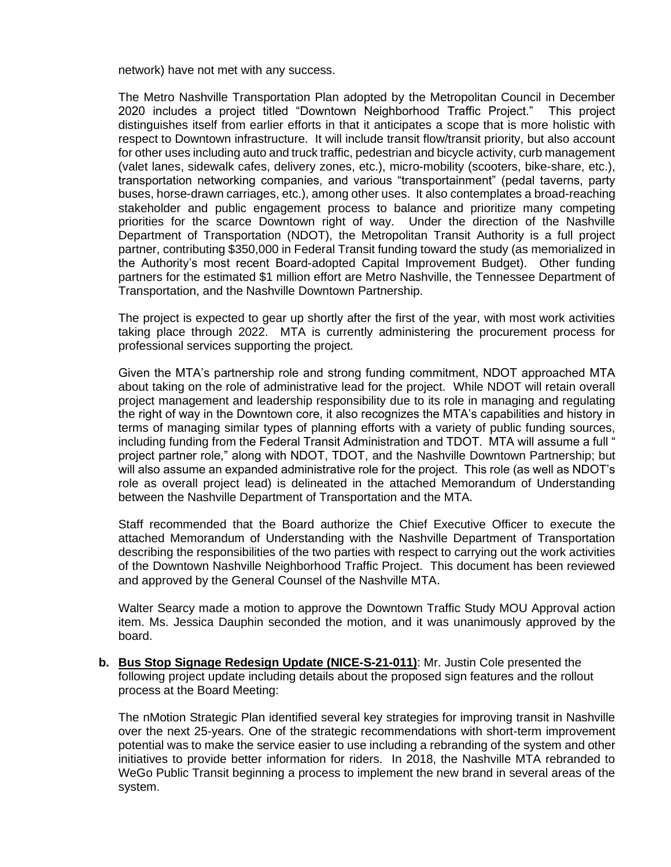network) have not met with any success.

The Metro Nashville Transportation Plan adopted by the Metropolitan Council in December 2020 includes a project titled "Downtown Neighborhood Traffic Project." This project distinguishes itself from earlier efforts in that it anticipates a scope that is more holistic with respect to Downtown infrastructure. It will include transit flow/transit priority, but also account for other uses including auto and truck traffic, pedestrian and bicycle activity, curb management (valet lanes, sidewalk cafes, delivery zones, etc.), micro-mobility (scooters, bike-share, etc.), transportation networking companies, and various "transportainment" (pedal taverns, party buses, horse-drawn carriages, etc.), among other uses. It also contemplates a broad-reaching stakeholder and public engagement process to balance and prioritize many competing priorities for the scarce Downtown right of way. Under the direction of the Nashville Department of Transportation (NDOT), the Metropolitan Transit Authority is a full project partner, contributing \$350,000 in Federal Transit funding toward the study (as memorialized in the Authority's most recent Board-adopted Capital Improvement Budget). Other funding partners for the estimated \$1 million effort are Metro Nashville, the Tennessee Department of Transportation, and the Nashville Downtown Partnership.

The project is expected to gear up shortly after the first of the year, with most work activities taking place through 2022. MTA is currently administering the procurement process for professional services supporting the project.

Given the MTA's partnership role and strong funding commitment, NDOT approached MTA about taking on the role of administrative lead for the project. While NDOT will retain overall project management and leadership responsibility due to its role in managing and regulating the right of way in the Downtown core, it also recognizes the MTA's capabilities and history in terms of managing similar types of planning efforts with a variety of public funding sources, including funding from the Federal Transit Administration and TDOT. MTA will assume a full " project partner role," along with NDOT, TDOT, and the Nashville Downtown Partnership; but will also assume an expanded administrative role for the project. This role (as well as NDOT's role as overall project lead) is delineated in the attached Memorandum of Understanding between the Nashville Department of Transportation and the MTA.

Staff recommended that the Board authorize the Chief Executive Officer to execute the attached Memorandum of Understanding with the Nashville Department of Transportation describing the responsibilities of the two parties with respect to carrying out the work activities of the Downtown Nashville Neighborhood Traffic Project. This document has been reviewed and approved by the General Counsel of the Nashville MTA.

Walter Searcy made a motion to approve the Downtown Traffic Study MOU Approval action item. Ms. Jessica Dauphin seconded the motion, and it was unanimously approved by the board.

**b. Bus Stop Signage Redesign Update (NICE-S-21-011)**: Mr. Justin Cole presented the following project update including details about the proposed sign features and the rollout process at the Board Meeting:

The nMotion Strategic Plan identified several key strategies for improving transit in Nashville over the next 25-years. One of the strategic recommendations with short-term improvement potential was to make the service easier to use including a rebranding of the system and other initiatives to provide better information for riders. In 2018, the Nashville MTA rebranded to WeGo Public Transit beginning a process to implement the new brand in several areas of the system.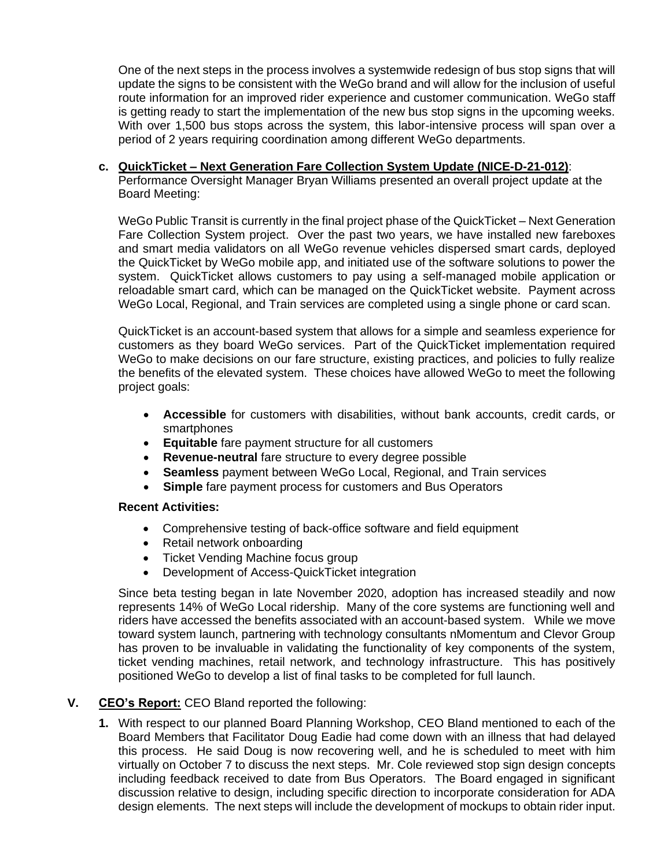One of the next steps in the process involves a systemwide redesign of bus stop signs that will update the signs to be consistent with the WeGo brand and will allow for the inclusion of useful route information for an improved rider experience and customer communication. WeGo staff is getting ready to start the implementation of the new bus stop signs in the upcoming weeks. With over 1,500 bus stops across the system, this labor-intensive process will span over a period of 2 years requiring coordination among different WeGo departments.

# **c. QuickTicket – Next Generation Fare Collection System Update (NICE-D-21-012)**:

Performance Oversight Manager Bryan Williams presented an overall project update at the Board Meeting:

WeGo Public Transit is currently in the final project phase of the QuickTicket – Next Generation Fare Collection System project. Over the past two years, we have installed new fareboxes and smart media validators on all WeGo revenue vehicles dispersed smart cards, deployed the QuickTicket by WeGo mobile app, and initiated use of the software solutions to power the system. QuickTicket allows customers to pay using a self-managed mobile application or reloadable smart card, which can be managed on the QuickTicket website. Payment across WeGo Local, Regional, and Train services are completed using a single phone or card scan.

QuickTicket is an account-based system that allows for a simple and seamless experience for customers as they board WeGo services. Part of the QuickTicket implementation required WeGo to make decisions on our fare structure, existing practices, and policies to fully realize the benefits of the elevated system. These choices have allowed WeGo to meet the following project goals:

- **Accessible** for customers with disabilities, without bank accounts, credit cards, or smartphones
- **Equitable** fare payment structure for all customers
- **Revenue-neutral** fare structure to every degree possible
- **Seamless** payment between WeGo Local, Regional, and Train services
- **Simple** fare payment process for customers and Bus Operators

#### **Recent Activities:**

- Comprehensive testing of back-office software and field equipment
- Retail network onboarding
- Ticket Vending Machine focus group
- Development of Access-QuickTicket integration

Since beta testing began in late November 2020, adoption has increased steadily and now represents 14% of WeGo Local ridership. Many of the core systems are functioning well and riders have accessed the benefits associated with an account-based system. While we move toward system launch, partnering with technology consultants nMomentum and Clevor Group has proven to be invaluable in validating the functionality of key components of the system, ticket vending machines, retail network, and technology infrastructure. This has positively positioned WeGo to develop a list of final tasks to be completed for full launch.

#### **V. CEO's Report:** CEO Bland reported the following:

**1.** With respect to our planned Board Planning Workshop, CEO Bland mentioned to each of the Board Members that Facilitator Doug Eadie had come down with an illness that had delayed this process. He said Doug is now recovering well, and he is scheduled to meet with him virtually on October 7 to discuss the next steps. Mr. Cole reviewed stop sign design concepts including feedback received to date from Bus Operators. The Board engaged in significant discussion relative to design, including specific direction to incorporate consideration for ADA design elements. The next steps will include the development of mockups to obtain rider input.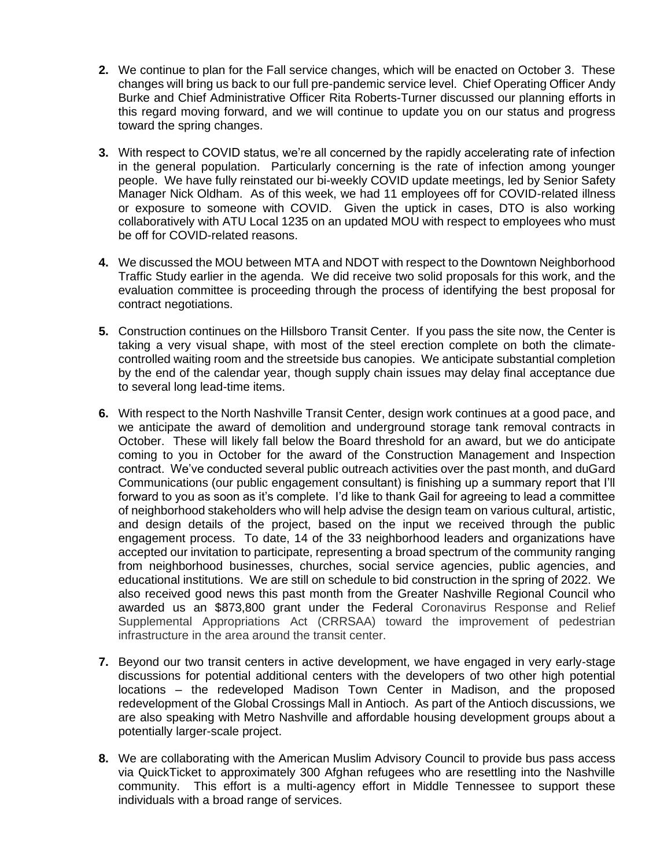- **2.** We continue to plan for the Fall service changes, which will be enacted on October 3. These changes will bring us back to our full pre-pandemic service level. Chief Operating Officer Andy Burke and Chief Administrative Officer Rita Roberts-Turner discussed our planning efforts in this regard moving forward, and we will continue to update you on our status and progress toward the spring changes.
- **3.** With respect to COVID status, we're all concerned by the rapidly accelerating rate of infection in the general population. Particularly concerning is the rate of infection among younger people. We have fully reinstated our bi-weekly COVID update meetings, led by Senior Safety Manager Nick Oldham. As of this week, we had 11 employees off for COVID-related illness or exposure to someone with COVID. Given the uptick in cases, DTO is also working collaboratively with ATU Local 1235 on an updated MOU with respect to employees who must be off for COVID-related reasons.
- **4.** We discussed the MOU between MTA and NDOT with respect to the Downtown Neighborhood Traffic Study earlier in the agenda. We did receive two solid proposals for this work, and the evaluation committee is proceeding through the process of identifying the best proposal for contract negotiations.
- **5.** Construction continues on the Hillsboro Transit Center. If you pass the site now, the Center is taking a very visual shape, with most of the steel erection complete on both the climatecontrolled waiting room and the streetside bus canopies. We anticipate substantial completion by the end of the calendar year, though supply chain issues may delay final acceptance due to several long lead-time items.
- **6.** With respect to the North Nashville Transit Center, design work continues at a good pace, and we anticipate the award of demolition and underground storage tank removal contracts in October. These will likely fall below the Board threshold for an award, but we do anticipate coming to you in October for the award of the Construction Management and Inspection contract. We've conducted several public outreach activities over the past month, and duGard Communications (our public engagement consultant) is finishing up a summary report that I'll forward to you as soon as it's complete. I'd like to thank Gail for agreeing to lead a committee of neighborhood stakeholders who will help advise the design team on various cultural, artistic, and design details of the project, based on the input we received through the public engagement process. To date, 14 of the 33 neighborhood leaders and organizations have accepted our invitation to participate, representing a broad spectrum of the community ranging from neighborhood businesses, churches, social service agencies, public agencies, and educational institutions. We are still on schedule to bid construction in the spring of 2022. We also received good news this past month from the Greater Nashville Regional Council who awarded us an \$873,800 grant under the Federal Coronavirus Response and Relief Supplemental Appropriations Act (CRRSAA) toward the improvement of pedestrian infrastructure in the area around the transit center.
- **7.** Beyond our two transit centers in active development, we have engaged in very early-stage discussions for potential additional centers with the developers of two other high potential locations – the redeveloped Madison Town Center in Madison, and the proposed redevelopment of the Global Crossings Mall in Antioch. As part of the Antioch discussions, we are also speaking with Metro Nashville and affordable housing development groups about a potentially larger-scale project.
- **8.** We are collaborating with the American Muslim Advisory Council to provide bus pass access via QuickTicket to approximately 300 Afghan refugees who are resettling into the Nashville community. This effort is a multi-agency effort in Middle Tennessee to support these individuals with a broad range of services.